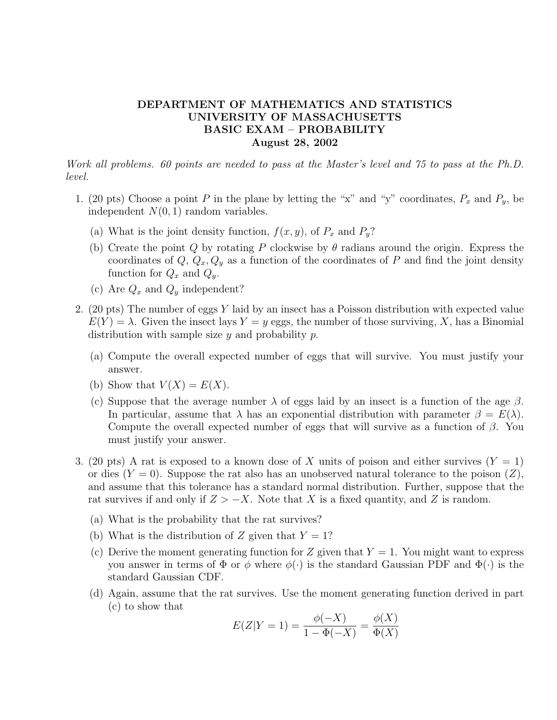## DEPARTMENT OF MATHEMATICS AND STATISTICS UNIVERSITY OF MASSACHUSETTS BASIC EXAM – PROBABILITY August 28, 2002

Work all problems. 60 points are needed to pass at the Master's level and 75 to pass at the Ph.D. level.

- 1. (20 pts) Choose a point P in the plane by letting the "x" and "y" coordinates,  $P_x$  and  $P_y$ , be independent  $N(0, 1)$  random variables.
	- (a) What is the joint density function,  $f(x, y)$ , of  $P_x$  and  $P_y$ ?
	- (b) Create the point Q by rotating P clockwise by  $\theta$  radians around the origin. Express the coordinates of  $Q, Q_x, Q_y$  as a function of the coordinates of P and find the joint density function for  $Q_x$  and  $Q_y$ .
	- (c) Are  $Q_x$  and  $Q_y$  independent?
- 2. (20 pts) The number of eggs Y laid by an insect has a Poisson distribution with expected value  $E(Y) = \lambda$ . Given the insect lays  $Y = y$  eggs, the number of those surviving, X, has a Binomial distribution with sample size  $y$  and probability  $p$ .
	- (a) Compute the overall expected number of eggs that will survive. You must justify your answer.
	- (b) Show that  $V(X) = E(X)$ .
	- (c) Suppose that the average number  $\lambda$  of eggs laid by an insect is a function of the age  $\beta$ . In particular, assume that  $\lambda$  has an exponential distribution with parameter  $\beta = E(\lambda)$ . Compute the overall expected number of eggs that will survive as a function of  $\beta$ . You must justify your answer.
- 3. (20 pts) A rat is exposed to a known dose of X units of poison and either survives  $(Y = 1)$ or dies  $(Y = 0)$ . Suppose the rat also has an unobserved natural tolerance to the poison  $(Z)$ , and assume that this tolerance has a standard normal distribution. Further, suppose that the rat survives if and only if  $Z > -X$ . Note that X is a fixed quantity, and Z is random.
	- (a) What is the probability that the rat survives?
	- (b) What is the distribution of Z given that  $Y = 1$ ?
	- (c) Derive the moment generating function for Z given that  $Y = 1$ . You might want to express you answer in terms of  $\Phi$  or  $\phi$  where  $\phi(\cdot)$  is the standard Gaussian PDF and  $\Phi(\cdot)$  is the standard Gaussian CDF.
	- (d) Again, assume that the rat survives. Use the moment generating function derived in part (c) to show that

$$
E(Z|Y=1) = \frac{\phi(-X)}{1 - \Phi(-X)} = \frac{\phi(X)}{\Phi(X)}
$$